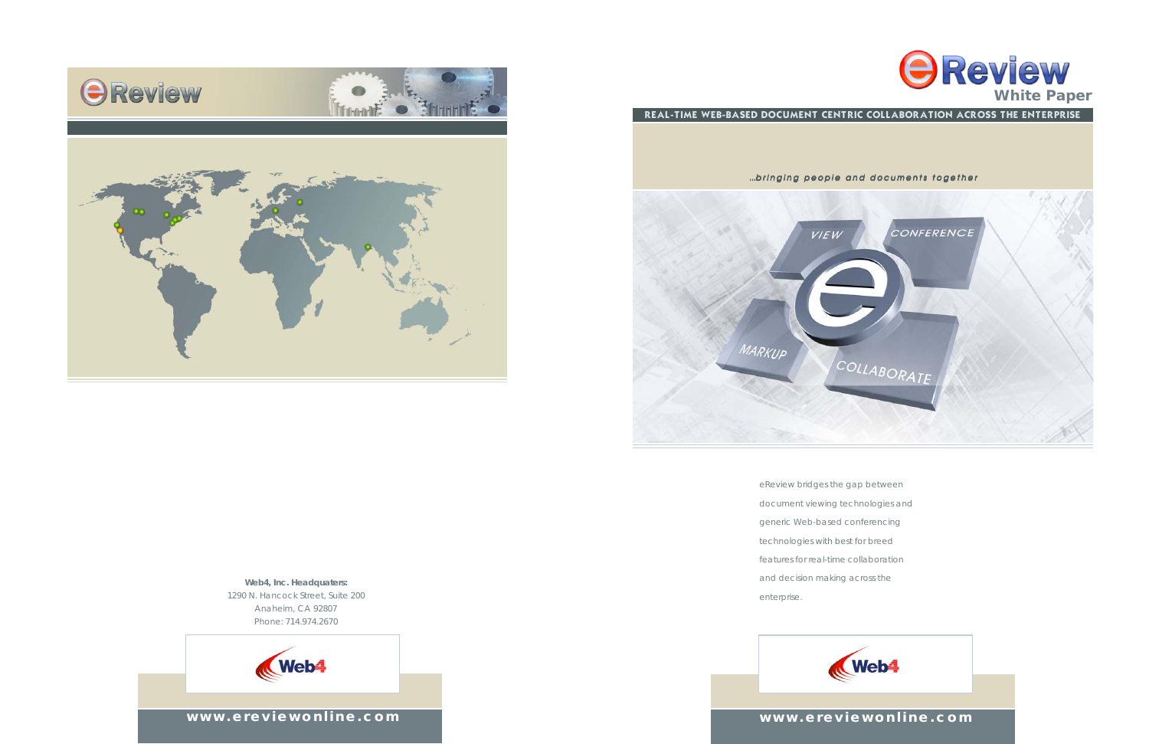**www.ereviewonline.com**

**Web4, Inc. Headquaters:** 1290 N. Hancock Street, Suite 200 Anaheim, CA 92807 Phone: 714.974.2670







eReview bridges the gap between document viewing technologies and generic Web-based conferencing technologies with best for breed features for real-time collaboration and decision making across the enterprise.





### **www.ereviewonline.com**

#### *...bringing people and documents together*

- 
- 
- 
- 
- 
- 

REAL-TIME WEB-BASED DOCUMENT CENTRIC COLLABORATION ACROSS THE ENTERPRISE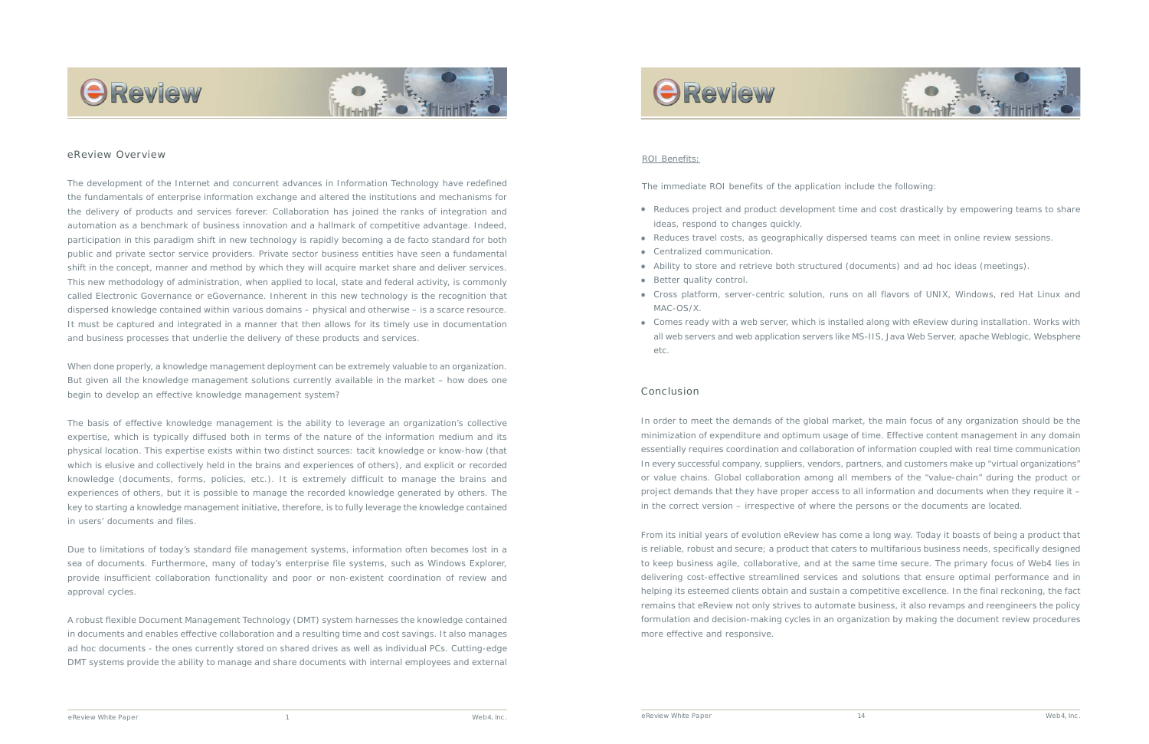The development of the Internet and concurrent advances in Information Technology have redefined the fundamentals of enterprise information exchange and altered the institutions and mechanisms for the delivery of products and services forever. Collaboration has joined the ranks of integration and automation as a benchmark of business innovation and a hallmark of competitive advantage. Indeed, participation in this paradigm shift in new technology is rapidly becoming a *de facto* standard for both public and private sector service providers. Private sector business entities have seen a fundamental shift in the concept, manner and method by which they will acquire market share and deliver services. This new methodology of administration, when applied to local, state and federal activity, is commonly called Electronic Governance or eGovernance. Inherent in this new technology is the recognition that dispersed knowledge contained within various domains – physical and otherwise – is a scarce resource. It must be captured and integrated in a manner that then allows for its timely use in documentation and business processes that underlie the delivery of these products and services.

When done properly, a knowledge management deployment can be extremely valuable to an organization. But given all the knowledge management solutions currently available in the market – how does one begin to develop an effective knowledge management system?

The basis of effective knowledge management is the ability to leverage an organization's collective expertise, which is typically diffused both in terms of the nature of the information medium and its physical location. This expertise exists within two distinct sources: tacit knowledge or know-how (that which is elusive and collectively held in the brains and experiences of others), and explicit or recorded knowledge (documents, forms, policies, etc.). It is extremely difficult to manage the brains and experiences of others, but it is possible to manage the recorded knowledge generated by others. The key to starting a knowledge management initiative, therefore, is to fully leverage the knowledge contained in users' documents and files.

Due to limitations of today's standard file management systems, information often becomes lost in a sea of documents. Furthermore, many of today's enterprise file systems, such as Windows Explorer, provide insufficient collaboration functionality and poor or non-existent coordination of review and approval cycles.

- Reduces project and product development time and cost drastically by empowering teams to share ideas, respond to changes quickly.
- Reduces travel costs, as geographically dispersed teams can meet in online review sessions.
- Centralized communication.
- Ability to store and retrieve both structured (documents) and ad hoc ideas (meetings).
- Better quality control.
- Cross platform, server-centric solution, runs on all flavors of UNIX, Windows, red Hat Linux and MAC-OS/X.
- Comes ready with a web server, which is installed along with eReview during installation. Works with all web servers and web application servers like MS-IIS, Java Web Server, apache Weblogic, Websphere etc.

A robust flexible Document Management Technology (DMT) system harnesses the knowledge contained in documents and enables effective collaboration and a resulting time and cost savings. It also manages ad hoc documents - the ones currently stored on shared drives as well as individual PCs. Cutting-edge DMT systems provide the ability to manage and share documents with internal employees and external







#### eReview Overview



In order to meet the demands of the global market, the main focus of any organization should be the minimization of expenditure and optimum usage of time. Effective content management in any domain essentially requires coordination and collaboration of information coupled with real time communication In every successful company, suppliers, vendors, partners, and customers make up "virtual organizations" or value chains. Global collaboration among all members of the "value-chain" during the product or project demands that they have proper access to all information and documents when they require it – in the correct version – irrespective of where the persons or the documents are located.

From its initial years of evolution eReview has come a long way. Today it boasts of being a product that is reliable, robust and secure; a product that caters to multifarious business needs, specifically designed to keep business agile, collaborative, and at the same time secure. The primary focus of Web4 lies in delivering cost-effective streamlined services and solutions that ensure optimal performance and in helping its esteemed clients obtain and sustain a competitive excellence. In the final reckoning, the fact remains that eReview not only strives to automate business, it also revamps and reengineers the policy formulation and decision-making cycles in an organization by making the document review procedures more effective and responsive.

#### Conclusion

#### ROI Benefits:

The immediate ROI benefits of the application include the following: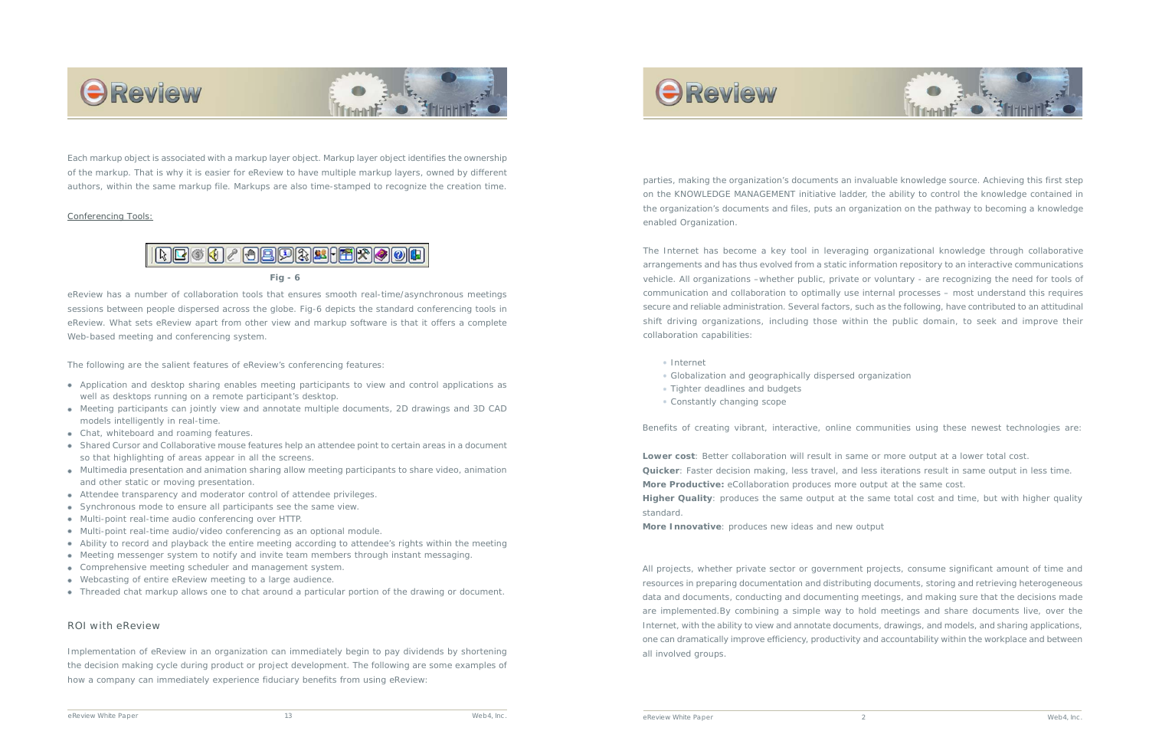parties, making the organization's documents an invaluable knowledge source. Achieving this first step on the KNOWLEDGE MANAGEMENT initiative ladder, the ability to control the knowledge contained in the organization's documents and files, puts an organization on the pathway to becoming a knowledge enabled Organization.

The Internet has become a key tool in leveraging organizational knowledge through collaborative arrangements and has thus evolved from a static information repository to an interactive communications vehicle. All organizations –whether public, private or voluntary - are recognizing the need for tools of communication and collaboration to optimally use internal processes – most understand this requires secure and reliable administration. Several factors, such as the following, have contributed to an attitudinal shift driving organizations, including those within the public domain, to seek and improve their collaboration capabilities:

Benefits of creating vibrant, interactive, online communities using these newest technologies are:

- Internet
- Globalization and geographically dispersed organization
- Tighter deadlines and budgets
- Constantly changing scope

**Lower cost**: Better collaboration will result in same or more output at a lower total cost. **More Productive:** eCollaboration produces more output at the same cost. standard.

- 
- **Quicker**: Faster decision making, less travel, and less iterations result in same output in less time.
	-
- **Higher Quality**: produces the same output at the same total cost and time, but with higher quality

**More Innovative**: produces new ideas and new output

All projects, whether private sector or government projects, consume significant amount of time and resources in preparing documentation and distributing documents, storing and retrieving heterogeneous data and documents, conducting and documenting meetings, and making sure that the decisions made are implemented.By combining a simple way to hold meetings and share documents live, over the Internet, with the ability to view and annotate documents, drawings, and models, and sharing applications, one can dramatically improve efficiency, productivity and accountability within the workplace and between all involved groups.



#### *Conferencing Tools:*



eReview has a number of collaboration tools that ensures smooth real-time/asynchronous meetings sessions between people dispersed across the globe. Fig-6 depicts the standard conferencing tools in eReview. What sets eReview apart from other view and markup software is that it offers a complete Web-based meeting and conferencing system.

The following are the salient features of eReview's conferencing features:

#### ROI with eReview

Implementation of eReview in an organization can immediately begin to pay dividends by shortening the decision making cycle during product or project development. The following are some examples of how a company can immediately experience fiduciary benefits from using eReview:



- Application and desktop sharing enables meeting participants to view and control applications as well as desktops running on a remote participant's desktop.
- Meeting participants can jointly view and annotate multiple documents, 2D drawings and 3D CAD models intelligently in real-time.
- Chat, whiteboard and roaming features.
- Shared Cursor and Collaborative mouse features help an attendee point to certain areas in a document so that highlighting of areas appear in all the screens.
- Multimedia presentation and animation sharing allow meeting participants to share video, animation and other static or moving presentation.
- Attendee transparency and moderator control of attendee privileges.
- Synchronous mode to ensure all participants see the same view.
- Multi-point real-time audio conferencing over HTTP.
- Multi-point real-time audio/video conferencing as an optional module.
- Ability to record and playback the entire meeting according to attendee's rights within the meeting
- Meeting messenger system to notify and invite team members through instant messaging.
- Comprehensive meeting scheduler and management system.
- Webcasting of entire eReview meeting to a large audience.
- Threaded chat markup allows one to chat around a particular portion of the drawing or document.





Each markup object is associated with a markup layer object. Markup layer object identifies the ownership of the markup. That is why it is easier for eReview to have multiple markup layers, owned by different authors, within the same markup file. Markups are also time-stamped to recognize the creation time.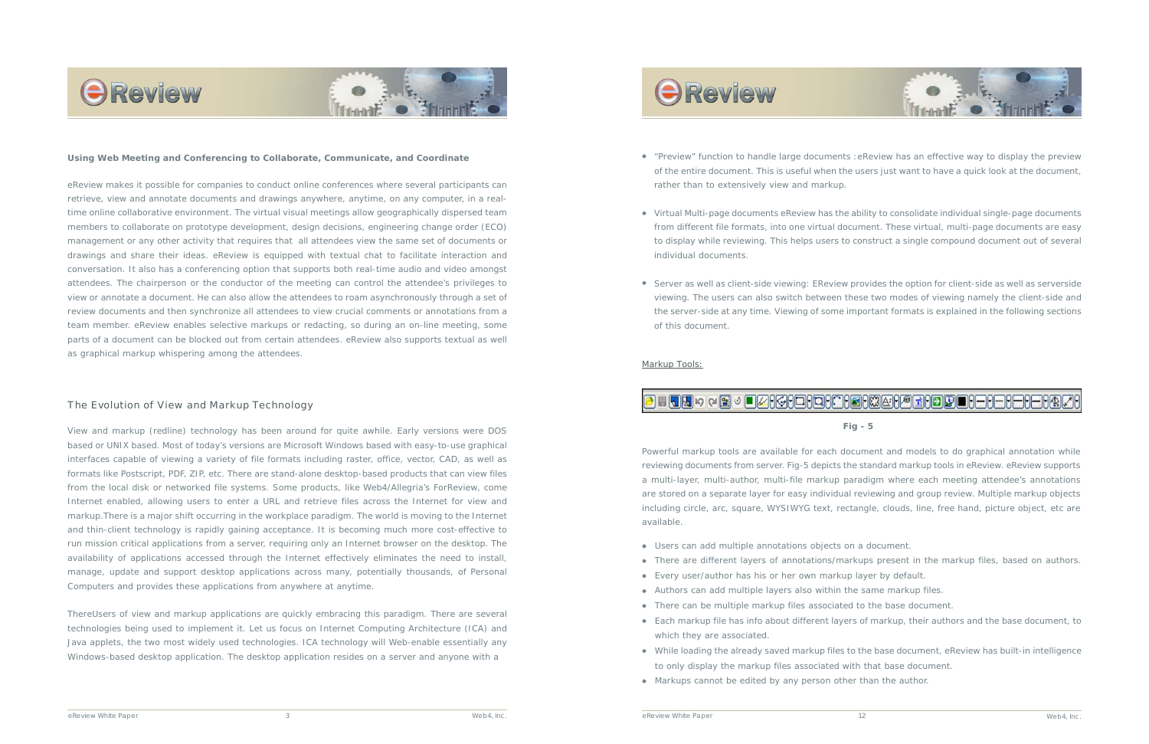



#### **Using Web Meeting and Conferencing to Collaborate, Communicate, and Coordinate**

eReview makes it possible for companies to conduct online conferences where several participants can retrieve, view and annotate documents and drawings anywhere, anytime, on any computer, in a realtime online collaborative environment. The virtual visual meetings allow geographically dispersed team members to collaborate on prototype development, design decisions, engineering change order (ECO) management or any other activity that requires that all attendees view the same set of documents or drawings and share their ideas. eReview is equipped with textual chat to facilitate interaction and conversation. It also has a conferencing option that supports both real-time audio and video amongst attendees. The chairperson or the conductor of the meeting can control the attendee's privileges to view or annotate a document. He can also allow the attendees to roam asynchronously through a set of review documents and then synchronize all attendees to view crucial comments or annotations from a team member. eReview enables selective markups or redacting, so during an on-line meeting, some parts of a document can be blocked out from certain attendees. eReview also supports textual as well as graphical markup whispering among the attendees.

#### The Evolution of View and Markup Technology

View and markup (redline) technology has been around for quite awhile. Early versions were DOS based or UNIX based. Most of today's versions are Microsoft Windows based with easy-to-use graphical interfaces capable of viewing a variety of file formats including raster, office, vector, CAD, as well as formats like Postscript, PDF, ZIP, etc. There are stand-alone desktop-based products that can view files from the local disk or networked file systems. Some products, like Web4/Allegria's ForReview, come Internet enabled, allowing users to enter a URL and retrieve files across the Internet for view and markup.There is a major shift occurring in the workplace paradigm. The world is moving to the Internet and thin-client technology is rapidly gaining acceptance. It is becoming much more cost-effective to run mission critical applications from a server, requiring only an Internet browser on the desktop. The availability of applications accessed through the Internet effectively eliminates the need to install, manage, update and support desktop applications across many, potentially thousands, of Personal Computers and provides these applications from anywhere at anytime.

ThereUsers of view and markup applications are quickly embracing this paradigm. There are several technologies being used to implement it. Let us focus on Internet Computing Architecture (ICA) and Java applets, the two most widely used technologies. ICA technology will Web-enable essentially any Windows-based desktop application. The desktop application resides on a server and anyone with a

# **OReview**

*eReview White Paper* 3 *Web4, Inc. eReview White Paper Web4, Inc.*



- Users can add multiple annotations objects on a document.
- 
- There are different layers of annotations/markups present in the markup files, based on authors. Every user/author has his or her own markup layer by default.
- Authors can add multiple layers also within the same markup files.
- There can be multiple markup files associated to the base document.
- Each markup file has info about different layers of markup, their authors and the base document, to which they are associated.
- to only display the markup files associated with that base document.
- Markups cannot be edited by any person other than the author.

While loading the already saved markup files to the base document, eReview has built-in intelligence

"Preview" function to handle large documents :eReview has an effective way to display the preview of the entire document. This is useful when the users just want to have a quick look at the document,

Virtual Multi-page documents eReview has the ability to consolidate individual single-page documents from different file formats, into one virtual document. These virtual, multi-page documents are easy to display while reviewing. This helps users to construct a single compound document out of several

- rather than to extensively view and markup.
- individual documents.
- of this document.

Server as well as client-side viewing: EReview provides the option for client-side as well as serverside viewing. The users can also switch between these two modes of viewing namely the client-side and the server-side at any time. Viewing of some important formats is explained in the following sections

#### *Markup Tools:*

## **B - TJ** > Q H + D DHGHOHOHOH 3H HOHO DHOHOHOHOHOH

Powerful markup tools are available for each document and models to do graphical annotation while reviewing documents from server. Fig-5 depicts the standard markup tools in eReview. eReview supports a multi-layer, multi-author, multi-file markup paradigm where each meeting attendee's annotations are stored on a separate layer for easy individual reviewing and group review. Multiple markup objects including circle, arc, square, WYSIWYG text, rectangle, clouds, line, free hand, picture object, etc are available.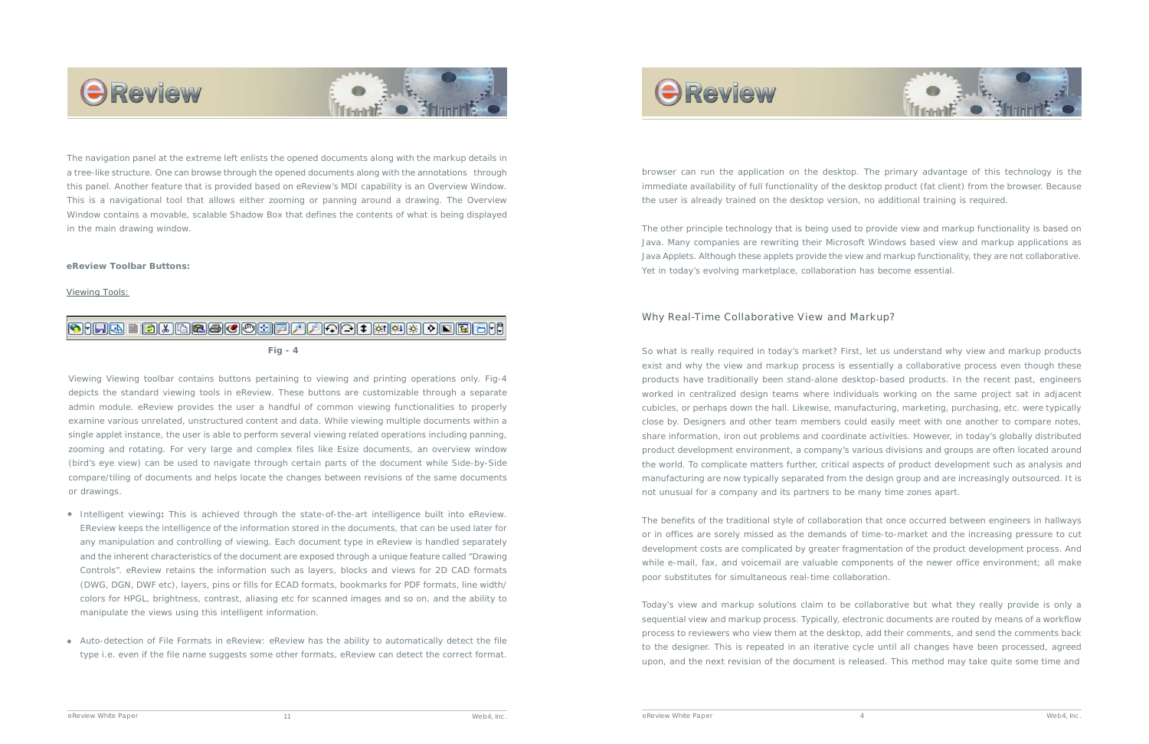### Why Real-Time Collaborative View and Markup?

So what is really required in today's market? First, let us understand why view and markup products exist and why the view and markup process is essentially a collaborative process even though these products have traditionally been stand-alone desktop-based products. In the recent past, engineers worked in centralized design teams where individuals working on the same project sat in adjacent cubicles, or perhaps down the hall. Likewise, manufacturing, marketing, purchasing, etc. were typically close by. Designers and other team members could easily meet with one another to compare notes, share information, iron out problems and coordinate activities. However, in today's globally distributed product development environment, a company's various divisions and groups are often located around the world. To complicate matters further, critical aspects of product development such as analysis and manufacturing are now typically separated from the design group and are increasingly outsourced. It is not unusual for a company and its partners to be many time zones apart.

The benefits of the traditional style of collaboration that once occurred between engineers in hallways or in offices are sorely missed as the demands of time-to-market and the increasing pressure to cut development costs are complicated by greater fragmentation of the product development process. And while e-mail, fax, and voicemail are valuable components of the newer office environment; all make poor substitutes for simultaneous real-time collaboration.

Today's view and markup solutions claim to be collaborative but what they really provide is only a sequential view and markup process. Typically, electronic documents are routed by means of a workflow process to reviewers who view them at the desktop, add their comments, and send the comments back to the designer. This is repeated in an iterative cycle until all changes have been processed, agreed upon, and the next revision of the document is released. This method may take quite some time and

browser can run the application on the desktop. The primary advantage of this technology is the immediate availability of full functionality of the desktop product (fat client) from the browser. Because the user is already trained on the desktop version, no additional training is required.

The other principle technology that is being used to provide view and markup functionality is based on Java. Many companies are rewriting their Microsoft Windows based view and markup applications as Java Applets. Although these applets provide the view and markup functionality, they are not collaborative. Yet in today's evolving marketplace, collaboration has become essential.



#### **eReview Toolbar Buttons:**

*Viewing Tools:*

### **OHRE BIRGSCOSFLOOTIAL TRABE**

Viewing Viewing toolbar contains buttons pertaining to viewing and printing operations only. Fig-4 depicts the standard viewing tools in eReview. These buttons are customizable through a separate admin module. eReview provides the user a handful of common viewing functionalities to properly examine various unrelated, unstructured content and data. While viewing multiple documents within a single applet instance, the user is able to perform several viewing related operations including panning, zooming and rotating. For very large and complex files like Esize documents, an overview window (bird's eye view) can be used to navigate through certain parts of the document while Side-by-Side compare/tiling of documents and helps locate the changes between revisions of the same documents or drawings.

- Intelligent viewing**:** This is achieved through the state-of-the-art intelligence built into eReview. EReview keeps the intelligence of the information stored in the documents, that can be used later for any manipulation and controlling of viewing. Each document type in eReview is handled separately and the inherent characteristics of the document are exposed through a unique feature called "Drawing Controls". eReview retains the information such as layers, blocks and views for 2D CAD formats (DWG, DGN, DWF etc), layers, pins or fills for ECAD formats, bookmarks for PDF formats, line width/ colors for HPGL, brightness, contrast, aliasing etc for scanned images and so on, and the ability to manipulate the views using this intelligent information.
- Auto-detection of File Formats in eReview: eReview has the ability to automatically detect the file type i.e. even if the file name suggests some other formats, eReview can detect the correct format.

# **OReview**





The navigation panel at the extreme left enlists the opened documents along with the markup details in a tree-like structure. One can browse through the opened documents along with the annotations through this panel. Another feature that is provided based on eReview's MDI capability is an Overview Window. This is a navigational tool that allows either zooming or panning around a drawing. The Overview Window contains a movable, scalable Shadow Box that defines the contents of what is being displayed in the main drawing window.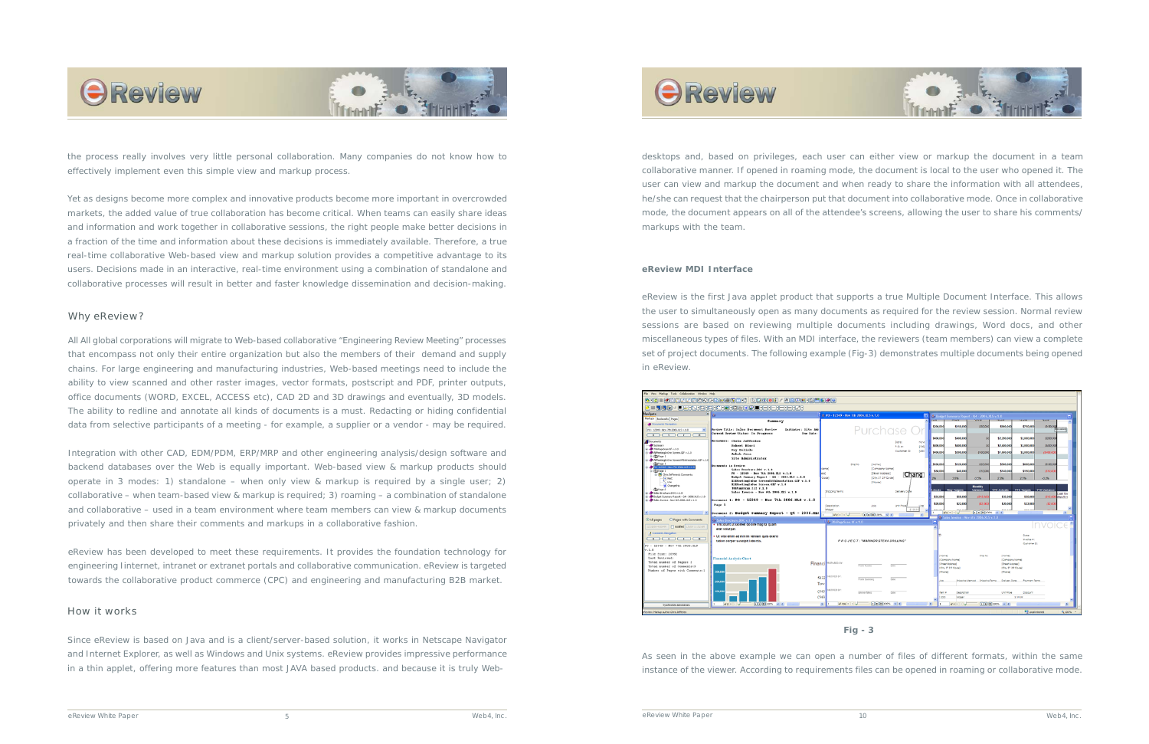



the process really involves very little personal collaboration. Many companies do not know how to effectively implement even this simple view and markup process.

Yet as designs become more complex and innovative products become more important in overcrowded markets, the added value of true collaboration has become critical. When teams can easily share ideas and information and work together in collaborative sessions, the right people make better decisions in a fraction of the time and information about these decisions is immediately available. Therefore, a true real-time collaborative Web-based view and markup solution provides a competitive advantage to its users. Decisions made in an interactive, real-time environment using a combination of standalone and collaborative processes will result in better and faster knowledge dissemination and decision-making.

#### Why eReview?

All All global corporations will migrate to Web-based collaborative "Engineering Review Meeting" processes that encompass not only their entire organization but also the members of their demand and supply chains. For large engineering and manufacturing industries, Web-based meetings need to include the ability to view scanned and other raster images, vector formats, postscript and PDF, printer outputs, office documents (WORD, EXCEL, ACCESS etc), CAD 2D and 3D drawings and eventually, 3D models. The ability to redline and annotate all kinds of documents is a must. Redacting or hiding confidential data from selective participants of a meeting - for example, a supplier or a vendor - may be required.

Integration with other CAD, EDM/PDM, ERP/MRP and other engineering analysis/design software and backend databases over the Web is equally important. Web-based view & markup products should operate in 3 modes: 1) standalone – when only view & markup is required by a single user; 2) collaborative – when team-based view & markup is required; 3) roaming – a combination of standalone and collaborative – used in a team environment where team members can view & markup documents privately and then share their comments and markups in a collaborative fashion.

eReview has been developed to meet these requirements. It provides the foundation technology for engineering Iinternet, intranet or extranet portals and collaborative communication. eReview is targeted towards the collaborative product commerce (CPC) and engineering and manufacturing B2B market.

#### How it works

Since eReview is based on Java and is a client/server-based solution, it works in Netscape Navigator and Internet Explorer, as well as Windows and Unix systems. eReview provides impressive performance in a thin applet, offering more features than most JAVA based products. and because it is truly Web-





#### **eReview MDI Interface**

eReview is the first Java applet product that supports a true Multiple Document Interface. This allows the user to simultaneously open as many documents as required for the review session. Normal review sessions are based on reviewing multiple documents including drawings, Word docs, and other miscellaneous types of files. With an MDI interface, the reviewers (team members) can view a complete set of project documents. The following example (Fig-3) demonstrates multiple documents being opened in eReview.



As seen in the above example we can open a number of files of different formats, within the same instance of the viewer. According to requirements files can be opened in roaming or collaborative mode.

desktops and, based on privileges, each user can either view or markup the document in a team collaborative manner. If opened in roaming mode, the document is local to the user who opened it. The user can view and markup the document and when ready to share the information with all attendees, he/she can request that the chairperson put that document into collaborative mode. Once in collaborative mode, the document appears on all of the attendee's screens, allowing the user to share his comments/ markups with the team.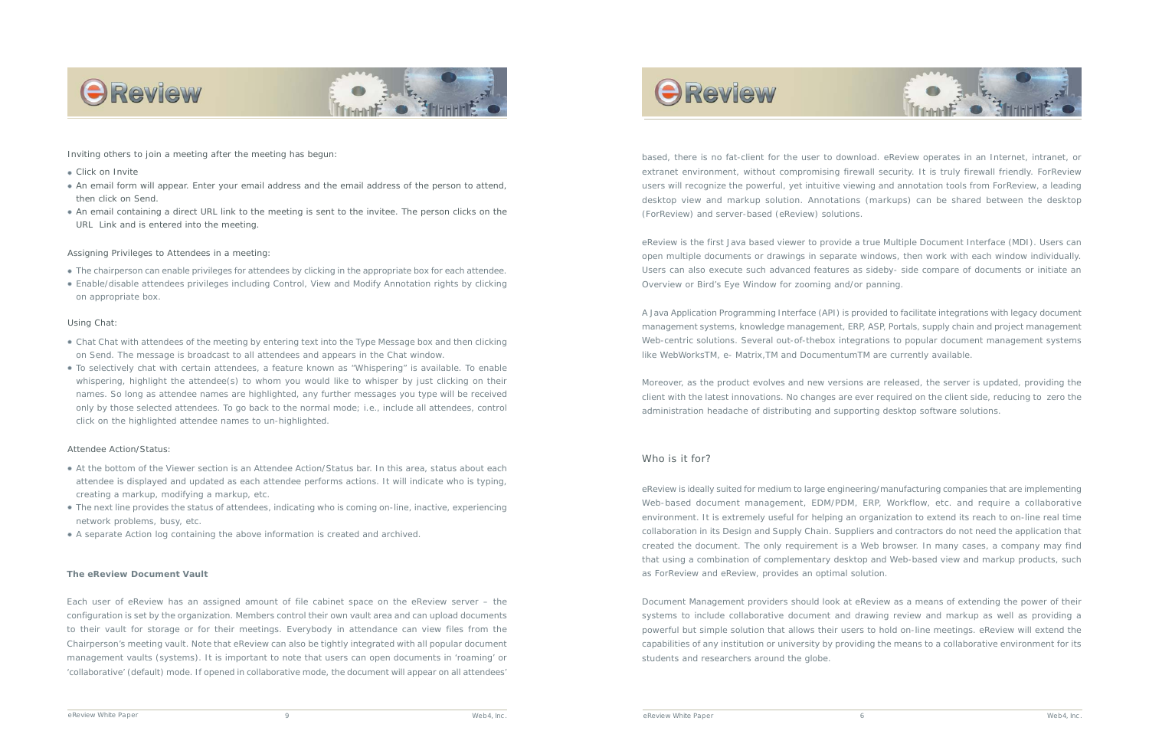based, there is no fat-client for the user to download. eReview operates in an Internet, intranet, or extranet environment, without compromising firewall security. It is truly firewall friendly. ForReview users will recognize the powerful, yet intuitive viewing and annotation tools from ForReview, a leading desktop view and markup solution. Annotations (markups) can be shared between the desktop (ForReview) and server-based (eReview) solutions.

eReview is the first Java based viewer to provide a true Multiple Document Interface (MDI). Users can open multiple documents or drawings in separate windows, then work with each window individually. Users can also execute such advanced features as *sideby- side compare* of documents or initiate an *Overview* or *Bird's Eye Window* for zooming and/or panning.

A Java Application Programming Interface (API) is provided to facilitate integrations with legacy document management systems, knowledge management, ERP, ASP, Portals, supply chain and project management Web-centric solutions. Several out-of-thebox integrations to popular document management systems like WebWorksTM, e- Matrix,TM and DocumentumTM are currently available.

Moreover, as the product evolves and new versions are released, the server is updated, providing the client with the latest innovations. No changes are ever required on the client side, reducing to zero the administration headache of distributing and supporting desktop software solutions.

#### Who is it for?

eReview is ideally suited for medium to large engineering/manufacturing companies that are implementing Web-based document management, EDM/PDM, ERP, Workflow, etc. and require a collaborative environment. It is extremely useful for helping an organization to extend its reach to on-line real time collaboration in its Design and Supply Chain. Suppliers and contractors do not need the application that created the document. The only requirement is a Web browser. In many cases, a company may find that using a combination of complementary desktop and Web-based view and markup products, such as ForReview and eReview, provides an optimal solution.

- Click on Invite
- An email form will appear. Enter your email address and the email address of the person to attend, then click on Send.
- An email containing a direct URL link to the meeting is sent to the invitee. The person clicks on the URL Link and is entered into the meeting.

Document Management providers should look at eReview as a means of extending the power of their systems to include collaborative document and drawing review and markup as well as providing a powerful but simple solution that allows their users to hold on-line meetings. eReview will extend the capabilities of any *institution or university* by providing the means to a collaborative environment for its students and researchers around the globe.



#### **The eReview Document Vault**

Each user of eReview has an assigned amount of file cabinet space on the eReview server – the configuration is set by the organization. Members control their own vault area and can upload documents to their vault for storage or for their meetings. Everybody in attendance can view files from the Chairperson's meeting vault. Note that eReview can also be tightly integrated with all popular document management vaults (systems). It is important to note that users can open documents in 'roaming' or 'collaborative' (default) mode. If opened in collaborative mode, the document will appear on all attendees'







*Inviting others to join a meeting after the meeting has begun:*

#### *Assigning Privileges to Attendees in a meeting:*

#### *Using Chat:*

- The chairperson can enable privileges for attendees by clicking in the appropriate box for each attendee.
- Enable/disable attendees privileges including Control, View and Modify Annotation rights by clicking on appropriate box.

- Chat Chat with attendees of the meeting by entering text into the Type Message box and then clicking on Send. The message is broadcast to all attendees and appears in the Chat window.
- To selectively chat with certain attendees, a feature known as "Whispering" is available. To enable whispering, highlight the attendee(s) to whom you would like to whisper by just clicking on their names. So long as attendee names are highlighted, any further messages you type will be received only by those selected attendees. To go back to the normal mode; i.e., include all attendees, control click on the highlighted attendee names to un-highlighted.

#### *Attendee Action/Status:*

- At the bottom of the Viewer section is an Attendee Action/Status bar. In this area, status about each attendee is displayed and updated as each attendee performs actions. It will indicate who is typing, creating a markup, modifying a markup, etc.
- The next line provides the status of attendees, indicating who is coming on-line, inactive, experiencing network problems, busy, etc.
- A separate Action log containing the above information is created and archived.